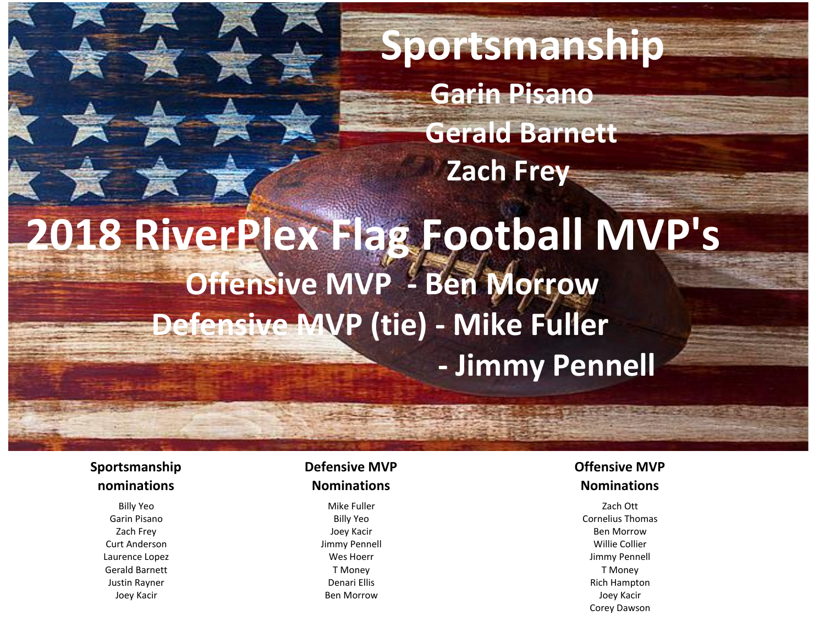**Sportsmanship Garin Pisano Gerald Barnett Zach Frey 2018 RiverPlex Flag Football MVP's Offensive MVP - Ben Morrow Defensive MVP (tie) - Mike Fuller - Jimmy Pennell**

#### **Sportsmanship nominations**

Gerald Barnett T Money T Money

#### **Defensive MVP Nominations**

Billy Yeo Mike Fuller Zach Ott

### **Offensive MVP Nominations**

Garin Pisano Billy Yeo Cornelius Thomas Zach Frey Joey Kacir Ben Morrow Curt Anderson Jimmy Pennell Willie Collier Laurence Lopez Wes Hoerr Jimmy Pennell Justin Rayner Denari Ellis Rich Hampton Joey Kacir Ben Morrow Joey Kacir Corey Dawson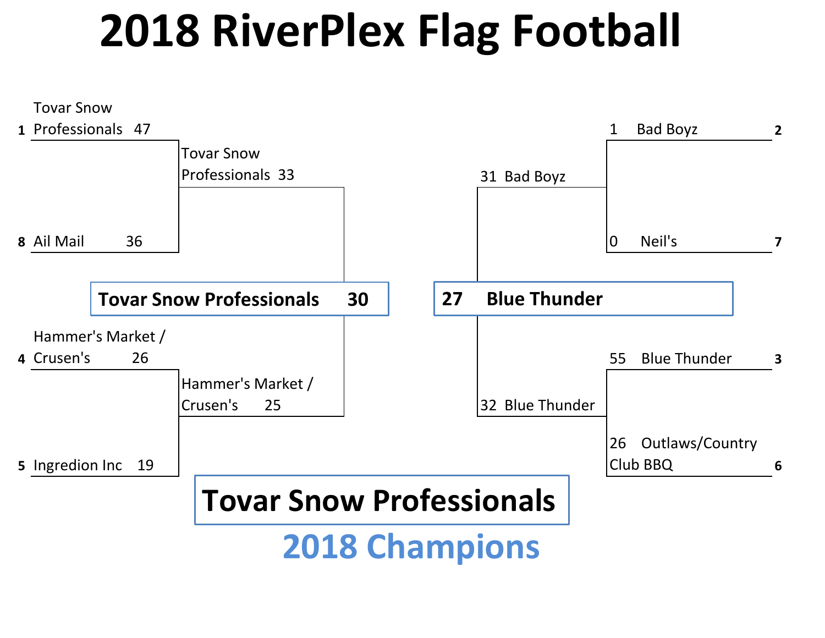# **2018 RiverPlex Flag Football**

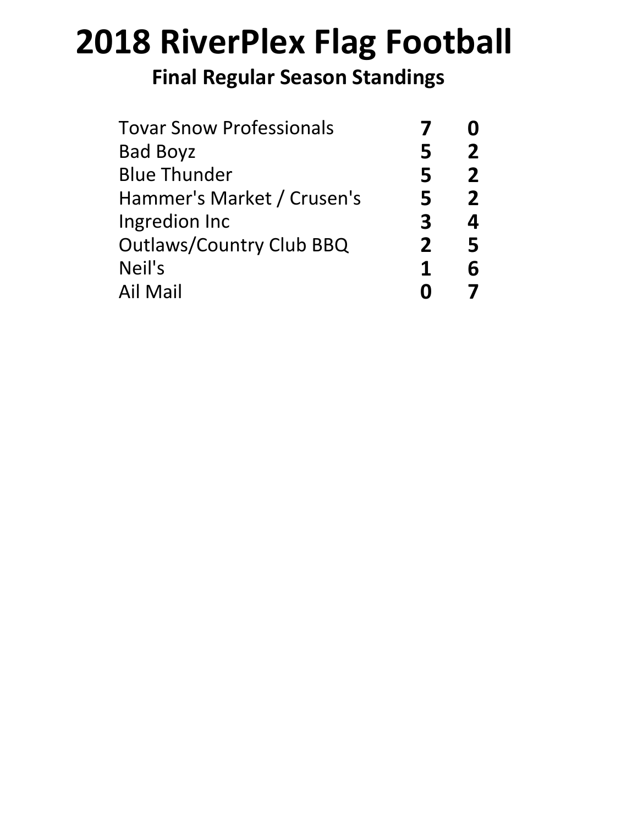# **2018 RiverPlex Flag Football**

## **Final Regular Season Standings**

| 2 |
|---|
|   |
| 2 |
| 2 |
| 4 |
| 5 |
| հ |
|   |
|   |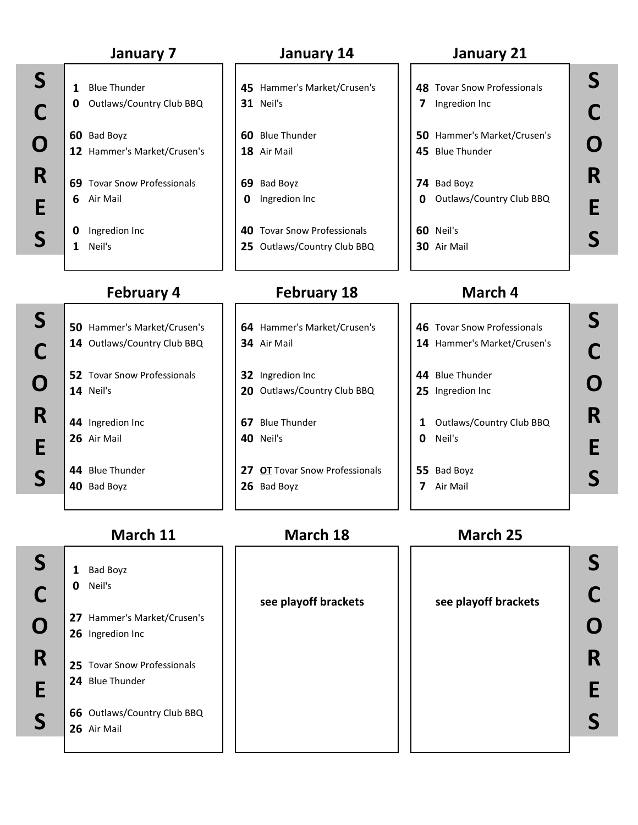### **January 7 January 14 January 21**

- - **69** Tovar Snow Professionals **69** Bad Boyz **74** Bad Boyz
	-

#### **1** Blue Thunder **45** Hammer's Market/Crusen's **48** Tovar Snow Professionals **0** Outlaws/Country Club BBQ **31** Neil's **7** Ingredion Inc

- **60** Bad Boyz **60** Blue Thunder **50** Hammer's Market/Crusen's **12** Hammer's Market/Crusen's **18** Air Mail **45** Blue Thunder
- **6** Air Mail **0** Ingredion Inc **0** Outlaws/Country Club BBQ
- **0** Ingredion Inc **40** Tovar Snow Professionals **60** Neil's **1** Neil's **25** Outlaws/Country Club BBQ **30** Air Mail

### **February 4 February 18**

- **50** Hammer's Market/Crusen's **64** Hammer's Market/Crusen's **46** Tovar Snow Professionals
- **14** Neil's **20** Outlaws/Country Club BBQ **25** Ingredion Inc
- **26** Air Mail **40** Neil's **0** Neil's
- **44** Blue Thunder **27 OT** Tovar Snow Professionals **55** Bad Boyz **40** Bad Boyz **26** Bad Boyz **7** Air Mail

## **March 4**

- **14** Outlaws/Country Club BBQ **34** Air Mail **14** Hammer's Market/Crusen's **52** Tovar Snow Professionals **32** Ingredion Inc **44** Blue Thunder  $\mathbb{C}$   $\begin{bmatrix} 14 & \text{Outlaws/Country Club BBQ} \\ \text{Outlaws/Country Club BBQ} \end{bmatrix}$  34 Air Mail
	- **44** Ingredion Inc **1 67** Blue Thunder **1 1** Outlaws/Country Club BBQ
		-
		-

**1** Bad Boyz **0** Neil's

**26** Ingredion Inc

**24** Blue Thunder

**26** Air Mail

#### **March 11 March 18 March 25**

**27** Hammer's Market/Crusen's

**25** Tovar Snow Professionals

**66** Outlaws/Country Club BBQ

**see playoff brackets see playoff brackets**

**R R**  $S \left| \begin{array}{ccc} 1 & 0 & 0 \\ 1 & 0 & 0 \end{array} \right|$ **C C**  $\begin{bmatrix} 27 & \text{Hammer's Market/Crussen's} \\ 26 & \text{Ingregation Inc} \end{bmatrix}$ **E S**

**S S C O R E**

**O**

**S**

**R**

**E**

**S**

**O S**

**S**

**S**

**C**

**O**

**R**

**E**

**R E S**

**S E**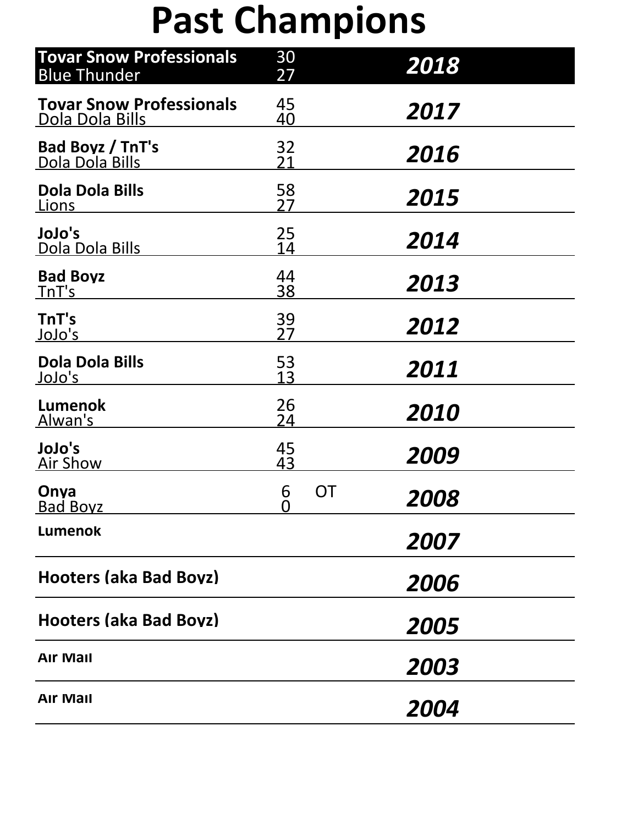# **Past Champions**

| <b>Tovar Snow Professionals</b><br><b>Blue Thunder</b> | 30<br>27        |    | 2018 |
|--------------------------------------------------------|-----------------|----|------|
| <b>Tovar Snow Professionals</b><br>Dola Dola Bills     | 45<br><u>40</u> |    | 2017 |
| <b>Bad Boyz / TnT's</b><br><u>Dola Dola Bills</u>      | 32<br>21        |    | 2016 |
| <b>Dola Dola Bills</b><br><u>Lions</u>                 | 58<br>27        |    | 2015 |
| JoJo's<br>Dola Dola Bills                              | 25<br>14        |    | 2014 |
| <b>Bad Boyz</b><br><u>TnT's</u>                        | 44<br>38        |    | 2013 |
| TnT's<br><u>JoJo's</u>                                 | 39<br>27        |    | 2012 |
| <b>Dola Dola Bills</b><br><u>JoJo's</u>                | 53<br>13        |    | 2011 |
| <b>Lumenok</b><br>Alwan's                              | 26<br><u>24</u> |    | 2010 |
| JoJo's<br><b>Air Show</b>                              | 45<br>43        |    | 2009 |
| Onya<br><b>Bad Boyz</b>                                | 6<br>0          | OT | 2008 |
| <b>Lumenok</b>                                         |                 |    | 2007 |
| <b>Hooters (aka Bad Boyz)</b>                          |                 |    | 2006 |
| <b>Hooters (aka Bad Boyz)</b>                          |                 |    | 2005 |
| <b>Air Mail</b>                                        |                 |    | 2003 |
| <b>Air Mail</b>                                        |                 |    | 2004 |